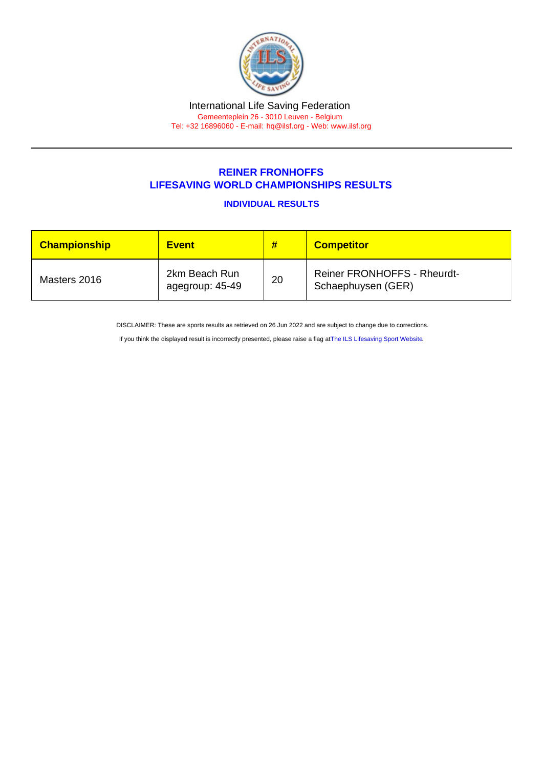## REINER FRONHOFFS LIFESAVING WORLD CHAMPIONSHIPS RESULTS

INDIVIDUAL RESULTS

| <b>Championship</b> | <b>Event</b>                     | #  | <b>Competitor</b>                                        |
|---------------------|----------------------------------|----|----------------------------------------------------------|
| Masters 2016        | 2km Beach Run<br>agegroup: 45-49 | 20 | <b>Reiner FRONHOFFS - Rheurdt-</b><br>Schaephuysen (GER) |

DISCLAIMER: These are sports results as retrieved on 26 Jun 2022 and are subject to change due to corrections.

If you think the displayed result is incorrectly presented, please raise a flag at [The ILS Lifesaving Sport Website.](https://sport.ilsf.org)